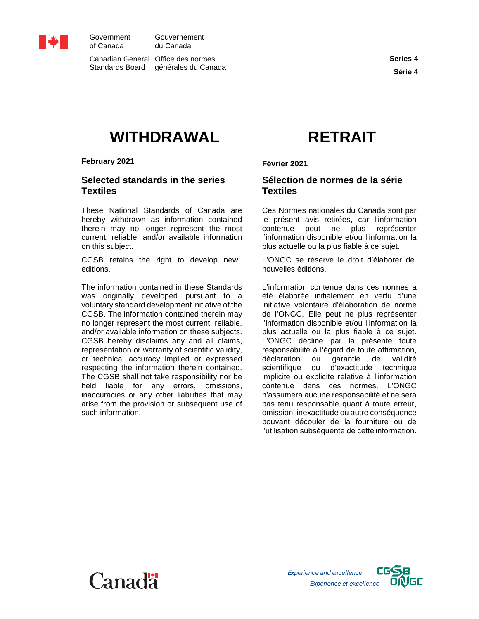

of Canada du Canada

Government Gouvernement

Canadian General Office des normes Standards Board générales du Canada **Series 4 Série 4** 

# **WITHDRAWAL RETRAIT**

**February 2021 Février 2021** 

# **Selected standards in the series Textiles**

These National Standards of Canada are hereby withdrawn as information contained therein may no longer represent the most current, reliable, and/or available information on this subject.

CGSB retains the right to develop new editions.

The information contained in these Standards was originally developed pursuant to a voluntary standard development initiative of the CGSB. The information contained therein may no longer represent the most current, reliable, and/or available information on these subjects. CGSB hereby disclaims any and all claims, representation or warranty of scientific validity, or technical accuracy implied or expressed respecting the information therein contained. The CGSB shall not take responsibility nor be held liable for any errors, omissions, inaccuracies or any other liabilities that may arise from the provision or subsequent use of such information.

# **Sélection de normes de la série Textiles**

Ces Normes nationales du Canada sont par le présent avis retirées, car l'information contenue peut ne plus représenter l'information disponible et/ou l'information la plus actuelle ou la plus fiable à ce sujet.

L'ONGC se réserve le droit d'élaborer de nouvelles éditions.

L'information contenue dans ces normes a été élaborée initialement en vertu d'une initiative volontaire d'élaboration de norme de l'ONGC. Elle peut ne plus représenter l'information disponible et/ou l'information la plus actuelle ou la plus fiable à ce sujet. L'ONGC décline par la présente toute responsabilité à l'égard de toute affirmation, déclaration ou garantie de validité scientifique ou d'exactitude technique implicite ou explicite relative à l'information contenue dans ces normes. L'ONGC n'assumera aucune responsabilité et ne sera pas tenu responsable quant à toute erreur, omission, inexactitude ou autre conséquence pouvant découler de la fourniture ou de l'utilisation subséquente de cette information.



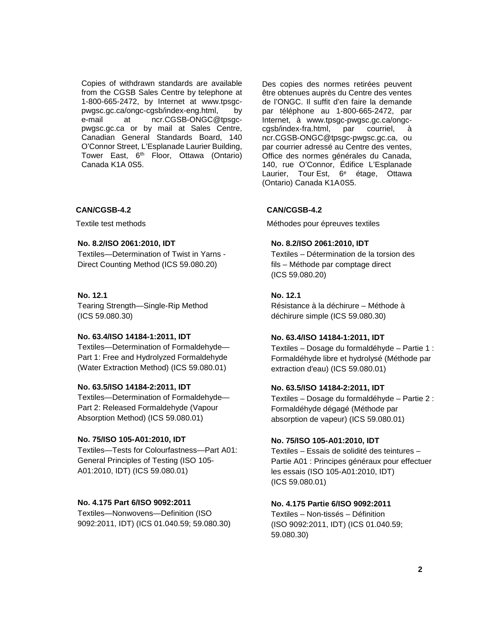Copies of withdrawn standards are available from the CGSB Sales Centre by telephone at 1-800-665-2472, by Internet at www.tpsgcpwgsc.gc.ca/ongc-cgsb/index-eng.html, by e-mail at [ncr.CGSB-ONGC@tpsgc](mailto:ncr.CGSB-ONGC@tpsgc-pwgsc.gc.ca)[pwgsc.gc.ca](mailto:ncr.CGSB-ONGC@tpsgc-pwgsc.gc.ca) or by mail at Sales Centre, Canadian General Standards Board, 140 O'Connor Street, L'Esplanade Laurier Building, Tower East, 6<sup>th</sup> Floor, Ottawa (Ontario) Canada K1A 0S5.

# **CAN/CGSB-4.2**

Textile test methods

# **No. 8.2/ISO 2061:2010, IDT**

Textiles—Determination of Twist in Yarns - Direct Counting Method (ICS 59.080.20)

# **No. 12.1**

Tearing Strength—Single-Rip Method (ICS 59.080.30)

# **No. 63.4/ISO 14184-1:2011, IDT**

Textiles—Determination of Formaldehyde— Part 1: Free and Hydrolyzed Formaldehyde (Water Extraction Method) (ICS 59.080.01)

### **No. 63.5/ISO 14184-2:2011, IDT**

Textiles—Determination of Formaldehyde— Part 2: Released Formaldehyde (Vapour Absorption Method) (ICS 59.080.01)

# **No. 75/ISO 105-A01:2010, IDT**

Textiles—Tests for Colourfastness—Part A01: General Principles of Testing (ISO 105- A01:2010, IDT) (ICS 59.080.01)

# **No. 4.175 Part 6/ISO 9092:2011**

Textiles—Nonwovens—Definition (ISO 9092:2011, IDT) (ICS 01.040.59; 59.080.30) Des copies des normes retirées peuvent être obtenues auprès du Centre des ventes de l'ONGC. Il suffit d'en faire la demande par téléphone au 1-800-665-2472, par Internet, à www.tpsgc-pwgsc.gc.ca/ongccgsb/index-fra.html, par courriel, à ncr.CGSB-ONGC@tpsgc-pwgsc.gc.ca, ou par courrier adressé au Centre des ventes, Office des normes générales du Canada, 140, rue O'Connor, Édifice L'Esplanade Laurier, Tour Est, 6<sup>e</sup> étage, Ottawa (Ontario) Canada K1A0S5.

# **CAN/CGSB-4.2**

Méthodes pour épreuves textiles

# **No. 8.2/ISO 2061:2010, IDT**

Textiles – Détermination de la torsion des fils – Méthode par comptage direct (ICS 59.080.20)

# **No. 12.1**

Résistance à la déchirure – Méthode à déchirure simple (ICS 59.080.30)

### **No. 63.4/ISO 14184-1:2011, IDT**

Textiles – Dosage du formaldéhyde – Partie 1 : Formaldéhyde libre et hydrolysé (Méthode par extraction d'eau) (ICS 59.080.01)

### **No. 63.5/ISO 14184-2:2011, IDT**

Textiles – Dosage du formaldéhyde – Partie 2 : Formaldéhyde dégagé (Méthode par absorption de vapeur) (ICS 59.080.01)

# **No. 75/ISO 105-A01:2010, IDT**

Textiles – Essais de solidité des teintures – Partie A01 : Principes généraux pour effectuer les essais (ISO 105-A01:2010, IDT) (ICS 59.080.01)

### **No. 4.175 Partie 6/ISO 9092:2011**

Textiles – Non-tissés – Définition (ISO 9092:2011, IDT) (ICS 01.040.59; 59.080.30)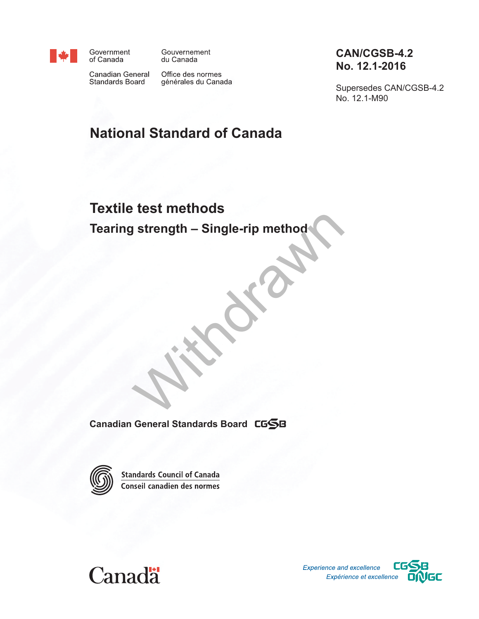

Government Gouvernement du Canada

Standards Board

of Canada

Canadian General Office des normes générales du Canada

# **CAN/CGSB-4.2 No. 12.1-2016**

Supersedes CAN/CGSB-4.2 No. 12.1-M90

# **National Standard of Canada**

# **Textile test methods Tearing strength – Single-rip method** Strength - Single-rip method

**Canadian General Standards Board**



**Standards Council of Canada** Conseil canadien des normes



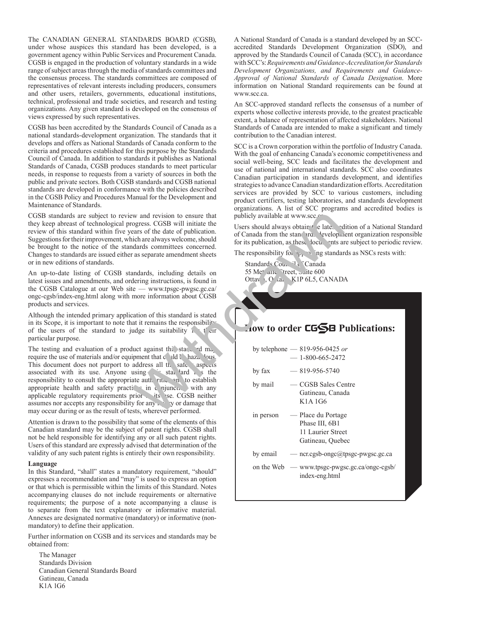The CANADIAN GENERAL STANDARDS BOARD (CGSB), under whose auspices this standard has been developed, is a government agency within Public Services and Procurement Canada. CGSB is engaged in the production of voluntary standards in a wide range of subject areas through the media of standards committees and the consensus process. The standards committees are composed of representatives of relevant interests including producers, consumers and other users, retailers, governments, educational institutions, technical, professional and trade societies, and research and testing organizations. Any given standard is developed on the consensus of views expressed by such representatives.

CGSB has been accredited by the Standards Council of Canada as a national standards-development organization. The standards that it develops and offers as National Standards of Canada conform to the criteria and procedures established for this purpose by the Standards Council of Canada. In addition to standards it publishes as National Standards of Canada, CGSB produces standards to meet particular needs, in response to requests from a variety of sources in both the public and private sectors. Both CGSB standards and CGSB national standards are developed in conformance with the policies described in the CGSB Policy and Procedures Manual for the Development and Maintenance of Standards.

CGSB standards are subject to review and revision to ensure that they keep abreast of technological progress. CGSB will initiate the review of this standard within five years of the date of publication. Suggestions for their improvement, which are always welcome, should be brought to the notice of the standards committees concerned. Changes to standards are issued either as separate amendment sheets or in new editions of standards.

An up-to-date listing of CGSB standards, including details on latest issues and amendments, and ordering instructions, is found in the CGSB Catalogue at our Web site — www.tpsgc-pwgsc.gc.ca/ ongc-cgsb/index-eng.html along with more information about CGSB products and services.

Although the intended primary application of this standard is stated in its Scope, it is important to note that it remains the responsibility of the users of the standard to judge its suitability  $\mathbf{r} \cdot \mathbf{t}'$  eir particular purpose.

The testing and evaluation of a product against this standard may require the use of materials and/or equipment that  $\epsilon$  ld  $\epsilon$  hazardous. This document does not purport to address all the safety aspects associated with its use. Anyone using  $\sim$  standard has the responsibility to consult the appropriate authorities and to establish appropriate health and safety practices in conjunction with any applicable regulatory requirements prior to its use. CGSB neither assumes nor accepts any responsibility for any injury or damage that may occur during or as the result of tests, wherever performed.

Attention is drawn to the possibility that some of the elements of this Canadian standard may be the subject of patent rights. CGSB shall not be held responsible for identifying any or all such patent rights. Users of this standard are expressly advised that determination of the validity of any such patent rights is entirely their own responsibility.

### **Language**

In this Standard, "shall" states a mandatory requirement, "should" expresses a recommendation and "may" is used to express an option or that which is permissible within the limits of this Standard. Notes accompanying clauses do not include requirements or alternative requirements; the purpose of a note accompanying a clause is to separate from the text explanatory or informative material. Annexes are designated normative (mandatory) or informative (nonmandatory) to define their application.

Further information on CGSB and its services and standards may be obtained from:

The Manager Standards Division Canadian General Standards Board Gatineau, Canada K1A 1G6

A National Standard of Canada is a standard developed by an SCCaccredited Standards Development Organization (SDO), and approved by the Standards Council of Canada (SCC), in accordance with SCC's: *Requirements and Guidance-Accreditation for Standards Development Organizations, and Requirements and Guidance-Approval of National Standards of Canada Designation*. More information on National Standard requirements can be found at www.scc.ca.

An SCC-approved standard reflects the consensus of a number of experts whose collective interests provide, to the greatest practicable extent, a balance of representation of affected stakeholders. National Standards of Canada are intended to make a significant and timely contribution to the Canadian interest.

SCC is a Crown corporation within the portfolio of Industry Canada. With the goal of enhancing Canada's economic competitiveness and social well-being, SCC leads and facilitates the development and use of national and international standards. SCC also coordinates Canadian participation in standards development, and identifies strategies to advance Canadian standardization efforts. Accreditation services are provided by SCC to various customers, including product certifiers, testing laboratories, and standards development organizations. A list of SCC programs and accredited bodies is publicly available at www.scc.ca

Users should always obtain the latest edition of a National Standard of Canada from the standards development organization responsible for its publication, as these documents are subject to periodic review.

# **How to order CGSB Publications:**

| we and revision to ensure that                                                                                                                                                                               | publicly available at www.scc.com                                                                                                                                                                     |
|--------------------------------------------------------------------------------------------------------------------------------------------------------------------------------------------------------------|-------------------------------------------------------------------------------------------------------------------------------------------------------------------------------------------------------|
| ogress. CGSB will initiate the<br>ears of the date of publication.<br>ich are always welcome, should<br>ndards committees concerned.                                                                         | Users should always obtain the late. edition of a National Sta<br>of Canada from the standivro. Hevelopment organization respo<br>for its publication, as these locuse and safe subject to periodic r |
| r as separate amendment sheets                                                                                                                                                                               | The responsibility for $\psi_{\mathbf{r}}$ in standards as NSCs rests with                                                                                                                            |
| andards, including details on<br>dering instructions, is found in<br>te — www.tpsgc-pwgsc.gc.ca/<br>more information about CGSB                                                                              | Standards Cou. <sup>1</sup> Canada<br>55 Me <sup><math>\cdot</math></sup> and <sup>ot</sup> reet, saite 600<br>Ottav <sub>9</sub> , O' .a, K1P 6L5, CANADA                                            |
| cation of this standard is stated<br>at it remains the responsibility.<br>udge its suitability $\lambda$ t' eir                                                                                              | <b>Low to order CGSB Publications:</b>                                                                                                                                                                |
| luct against this star and man<br>ipment that c ld l haza lous.                                                                                                                                              | by telephone $-$ 819-956-0425 or<br>$-1-800-665-2472$                                                                                                                                                 |
| address all the safe aspects<br>using $\frac{1}{2}$ star 'ard r s the                                                                                                                                        | by fax<br>$-819-956-5740$                                                                                                                                                                             |
| ate auth ritic and to establish<br>$i \circ$ in c njuncu. with any<br>prior vits se. CGSB neither<br>y for any  y or damage that                                                                             | by mail<br>- CGSB Sales Centre<br>Gatineau, Canada<br>K1A1G6                                                                                                                                          |
| ests, wherever performed.<br>nat some of the elements of this<br>et of patent rights. CGSB shall<br>g any or all such patent rights.<br>lvised that determination of the<br>tirely their own responsibility. | - Place du Portage<br>in person<br>Phase III, 6B1<br>11 Laurier Street<br>Gatineau, Quebec                                                                                                            |
|                                                                                                                                                                                                              | by email<br>- ncr.cgsb-ongc@tpsgc-pwgsc.gc.ca                                                                                                                                                         |
| ndatory requirement, "should"<br>y" is used to express an option<br>e limits of this Standard. Notes                                                                                                         | on the Web $-$ www.tpsgc-pwgsc.gc.ca/ongc-cgsb/<br>index-eng.html                                                                                                                                     |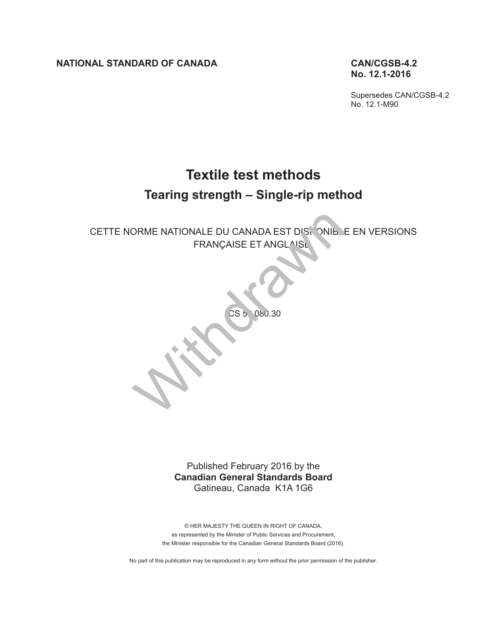**NATIONAL STANDARD OF CANADA CAN/CGSB-4.2**

**No. 12.1-2016**

Supersedes CAN/CGSB-4.2 No. 12.1-M90

# **Textile test methods**

# **Tearing strength – Single-rip method**

CETTE NORME NATIONALE DU CANADA EST DISPONIBLE EN VERSIONS FRANÇAISE ET ANGLAISL ORME NATIONALE DU CANADA EST DIS. ONIB.<br>FRANÇAISE ET ANGLAIS.<br>CS 5 060.30

 $CS 5.080.30$ 

Published February 2016 by the **Canadian General Standards Board**  Gatineau, Canada K1A 1G6

© HER MAJESTY THE QUEEN IN RIGHT OF CANADA, as represented by the Minister of Public Services and Procurement, the Minister responsible for the Canadian General Standards Board (2016).

No part of this publication may be reproduced in any form without the prior permission of the publisher.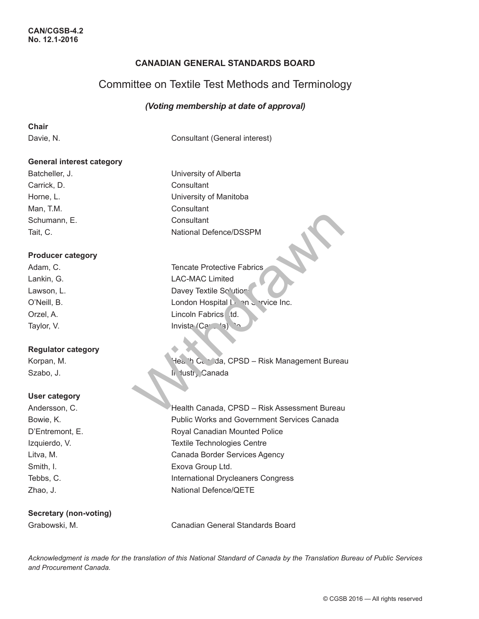# **CANADIAN GENERAL STANDARDS BOARD**

# Committee on Textile Test Methods and Terminology

# *(Voting membership at date of approval)*

### **Chair**

Davie, N. Consultant (General interest)

# **General interest category**

Batcheller, J. **Batcheller**, J. **Example 20** University of Alberta Carrick, D. Consultant Man, T.M. Consultant Schumann, E. Consultant

# **Producer category**

# **Regulator category**

# **User category**

# **Secretary (non-voting)**

Horne, L. **Horne**, L. **Example 20** and  $\overline{U}$  University of Manitoba Tait, C. National Defence/DSSPM

Adam, C. Tencate Protective Fabrics Lankin, G. **LAC-MAC Limited** Lawson, L. **Lawson, L. Lawson, L. Lawson, L. Lawson, L. Lawson, L. Lawson, L. Lawson, L. Lawson, L. Lawson, L. Lawson, L. Lawson, L. Lawson, L. Lawson, L. Lawson, L. Lawson, L. Lawson, L. La** O'Neill, B. The Condon Hospital Linen Service Inc. Orzel, A. **Lincoln Fabrics** td. Taylor, V. **Invista (Canada)** Co. Consultant<br>
National Defence/DSSPM<br>
Tencate Protective Fabrics<br>
LAC-MAC Limited<br>
Davey Textile Solution<br>
London Hospital Labors<br>
Lincoln Fabrics 1d.<br>
Invista (Carabical Labors)<br>
Health Canada, CPSD – Risk Management Bureau

Korpan, M. Korpan, M. Health Canada, CPSD – Risk Management Bureau Szabo, J. **Industry Canada** 

Andersson, C. **Health Canada, CPSD** – Risk Assessment Bureau Bowie, K. **Public Works and Government Services Canada** Covernment Services Canada D'Entremont, E. **Royal Canadian Mounted Police** Izquierdo, V. Textile Technologies Centre Litva, M. Canada Border Services Agency Smith, I. **Exova Group Ltd.** Tebbs, C. **International Drycleaners Congress** Zhao, J. **National Defence/QETE** 

Grabowski, M. Canadian General Standards Board

*Acknowledgment is made for the translation of this National Standard of Canada by the Translation Bureau of Public Services and Procurement Canada.*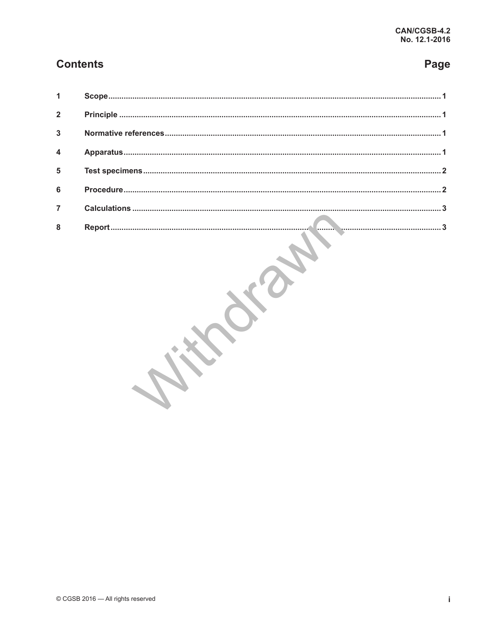# **Contents**

# Page

| 1                |  |
|------------------|--|
| $\overline{2}$   |  |
| 3                |  |
| $\boldsymbol{4}$ |  |
| 5                |  |
| 6                |  |
| $\overline{7}$   |  |
| 8                |  |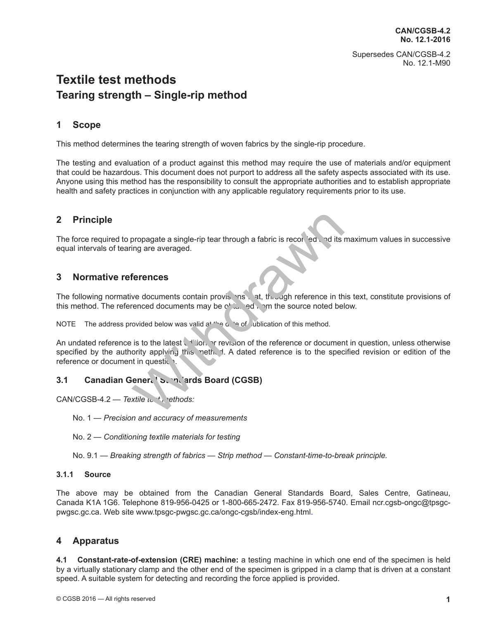Supersedes CAN/CGSB-4.2 No. 12.1-M90

# **Textile test methods Tearing strength – Single-rip method**

# **1 Scope**

This method determines the tearing strength of woven fabrics by the single-rip procedure.

The testing and evaluation of a product against this method may require the use of materials and/or equipment that could be hazardous. This document does not purport to address all the safety aspects associated with its use. Anyone using this method has the responsibility to consult the appropriate authorities and to establish appropriate health and safety practices in conjunction with any applicable regulatory requirements prior to its use.

# **2 Principle**

The force required to propagate a single-rip tear through a fabric is recorded and its maximum values in successive equal intervals of tearing are averaged.

# **3 Normative references**

The following normative documents contain provisions of at, through reference in this text, constitute provisions of this method. The referenced documents may be  $o<sup>k</sup>$ .  $\therefore$  ed.  $\therefore$  m the source noted below.

NOTE The address provided below was valid at the  $\alpha$  the of publication of this method.

An undated reference is to the latest  $\vec{v}$  on  $\vec{v}$  revision of the reference or document in question, unless otherwise specified by the authority applying this method. A dated reference is to the specified revision or edition of the reference or document in questicn. propagate a single-rip tear through a fabric is recoiled and its<br>ing are averaged.<br> **Efferences**<br>
we documents contain provisions at through reference in the<br>
renced documents may be o<sup>b</sup> in ed. In the source noted below<br>

# **3.1 Canadian General Standards Board (CGSB)**

CAN/CGSB-4.2 — *Textile i*<sub>c</sub> <sup>+</sup>*i*</sup> *ethods:* 

- No. 1 *Precision and accuracy of measurements*
- No. 2 *Conditioning textile materials for testing*
- No. 9.1 *Breaking strength of fabrics* — *Strip method* — *Constant-time-to-break principle.*

# **3.1.1 Source**

The above may be obtained from the Canadian General Standards Board, Sales Centre, Gatineau, Canada K1A 1G6. Telephone 819-956-0425 or 1-800-665-2472. Fax 819-956-5740. Email ncr.cgsb-ongc@tpsgcpwgsc.gc.ca. Web site www.tpsgc-pwgsc.gc.ca/ongc-cgsb/index-eng.html.

# **4 Apparatus**

**4.1 Constant-rate-of-extension (CRE) machine:** a testing machine in which one end of the specimen is held by a virtually stationary clamp and the other end of the specimen is gripped in a clamp that is driven at a constant speed. A suitable system for detecting and recording the force applied is provided.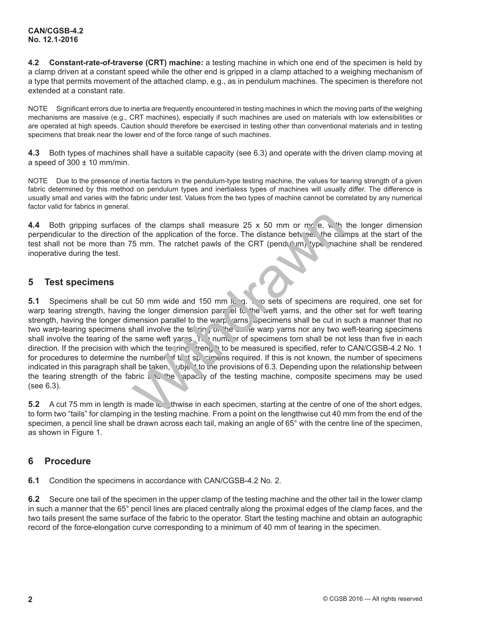# **CAN/CGSB-4.2 No. 12.1-2016**

**4.2 Constant-rate-of-traverse (CRT) machine:** a testing machine in which one end of the specimen is held by a clamp driven at a constant speed while the other end is gripped in a clamp attached to a weighing mechanism of a type that permits movement of the attached clamp, e.g., as in pendulum machines. The specimen is therefore not extended at a constant rate.

NOTE Significant errors due to inertia are frequently encountered in testing machines in which the moving parts of the weighing mechanisms are massive (e.g., CRT machines), especially if such machines are used on materials with low extensibilities or are operated at high speeds. Caution should therefore be exercised in testing other than conventional materials and in testing specimens that break near the lower end of the force range of such machines.

**4.3** Both types of machines shall have a suitable capacity (see 6.3) and operate with the driven clamp moving at a speed of  $300 \pm 10$  mm/min.

NOTE Due to the presence of inertia factors in the pendulum-type testing machine, the values for tearing strength of a given fabric determined by this method on pendulum types and inertialess types of machines will usually differ. The difference is usually small and varies with the fabric under test. Values from the two types of machine cannot be correlated by any numerical factor valid for fabrics in general.

**4.4** Both gripping surfaces of the clamps shall measure 25 x 50 mm or mode, with the longer dimension perpendicular to the direction of the application of the force. The distance between the clamps at the start of the test shall not be more than 75 mm. The ratchet pawls of the CRT (pendulum) type machine shall be rendered inoperative during the test.

# **5 Test specimens**

**5.1** Specimens shall be cut 50 mm wide and 150 mm long. Two sets of specimens are required, one set for warp tearing strength, having the longer dimension parallel to the veft yarns, and the other set for weft tearing strength, having the longer dimension parallel to the warp varns. Specimens shall be cut in such a manner that no two warp-tearing specimens shall involve the tearing on the same warp yarns nor any two weft-tearing specimens shall involve the tearing of the same weft yarns. The number of specimens torn shall be not less than five in each direction. If the precision with which the tearing strength to be measured is specified, refer to CAN/CGSB-4.2 No. 1 for procedures to determine the number of test specimens required. If this is not known, the number of specimens indicated in this paragraph shall be taken, subject to the provisions of 6.3. Depending upon the relationship between the tearing strength of the fabric  $\epsilon_0$  the capacity of the testing machine, composite specimens may be used (see 6.3). of the clamps shall measure 25 x 50 mm or mc e, we the condition of the force. The distance bett see, the clamptar of the condition of the CRT (pendu<sup>tu</sup>m), type macket 5 mm. The ratchet pawls of the CRT (pendu<sup>tum</sup>), typ

**5.2** A cut 75 mm in length is made it. the shorter shorter starting at the centre of one of the short edges, to form two "tails" for clamping in the testing machine. From a point on the lengthwise cut 40 mm from the end of the specimen, a pencil line shall be drawn across each tail, making an angle of 65° with the centre line of the specimen, as shown in Figure 1.

# **6 Procedure**

**6.1** Condition the specimens in accordance with CAN/CGSB-4.2 No. 2.

**6.2** Secure one tail of the specimen in the upper clamp of the testing machine and the other tail in the lower clamp in such a manner that the 65° pencil lines are placed centrally along the proximal edges of the clamp faces, and the two tails present the same surface of the fabric to the operator. Start the testing machine and obtain an autographic record of the force-elongation curve corresponding to a minimum of 40 mm of tearing in the specimen.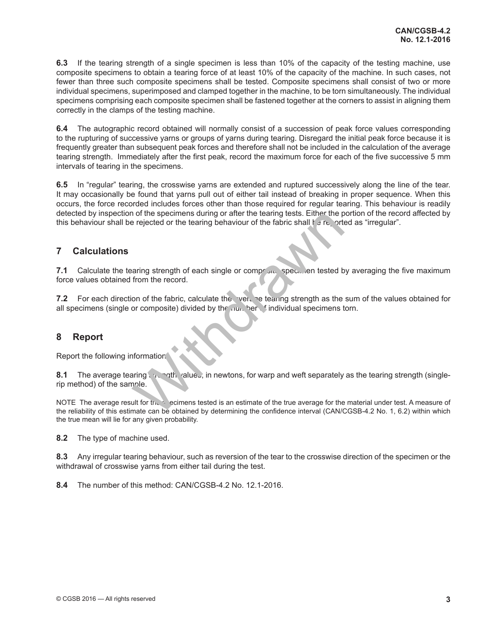**6.3** If the tearing strength of a single specimen is less than 10% of the capacity of the testing machine, use composite specimens to obtain a tearing force of at least 10% of the capacity of the machine. In such cases, not fewer than three such composite specimens shall be tested. Composite specimens shall consist of two or more individual specimens, superimposed and clamped together in the machine, to be torn simultaneously. The individual specimens comprising each composite specimen shall be fastened together at the corners to assist in aligning them correctly in the clamps of the testing machine.

**6.4** The autographic record obtained will normally consist of a succession of peak force values corresponding to the rupturing of successive yarns or groups of yarns during tearing. Disregard the initial peak force because it is frequently greater than subsequent peak forces and therefore shall not be included in the calculation of the average tearing strength. Immediately after the first peak, record the maximum force for each of the five successive 5 mm intervals of tearing in the specimens.

**6.5** In "regular" tearing, the crosswise yarns are extended and ruptured successively along the line of the tear. It may occasionally be found that yarns pull out of either tail instead of breaking in proper sequence. When this occurs, the force recorded includes forces other than those required for regular tearing. This behaviour is readily detected by inspection of the specimens during or after the tearing tests. Either the portion of the record affected by this behaviour shall be rejected or the tearing behaviour of the fabric shall  $f \neq r$ , orted as "irregular".

# **7 Calculations**

**7.1** Calculate the tearing strength of each single or compressing specimen tested by averaging the five maximum force values obtained from the record.

**7.2** For each direction of the fabric, calculate the verage tearing strength as the sum of the values obtained for all specimens (single or composite) divided by the number of individual specimens torn.

# **8 Report**

Report the following information:

**8.1** The average tearing strangth values, in newtons, for warp and weft separately as the tearing strength (singlerip method) of the sample.

NOTE The average result for the specimens tested is an estimate of the true average for the material under test. A measure of the reliability of this estimate can be obtained by determining the confidence interval (CAN/CGSB-4.2 No. 1, 6.2) within which the true mean will lie for any given probability. The specimens during or after the tearing tests. Either the projected or the tearing behaviour of the fabric shall  $Y_s$  re, orther the record.<br>
arring strength of each single or comprome specifies hall  $Y_s$  re, orther the

**8.2** The type of machine used.

**8.3** Any irregular tearing behaviour, such as reversion of the tear to the crosswise direction of the specimen or the withdrawal of crosswise yarns from either tail during the test.

**8.4** The number of this method: CAN/CGSB-4.2 No. 12.1-2016.